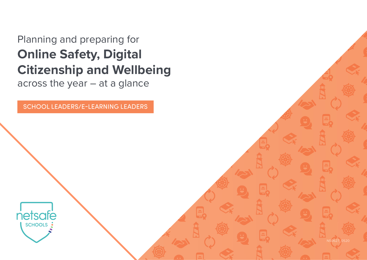# Planning and preparing for **Online Safety, Digital Citizenship and Wellbeing**

across the year – at a glance

SCHOOL LEADERS/E-LEARNING LEADERS

NS0627\_0520

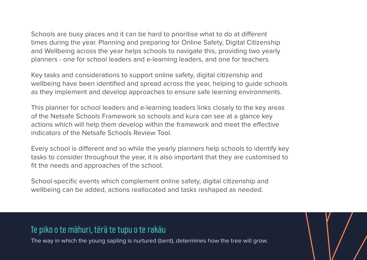Schools are busy places and it can be hard to prioritise what to do at different times during the year. Planning and preparing for Online Safety, Digital Citizenship and Wellbeing across the year helps schools to navigate this, providing two yearly planners - one for school leaders and e-learning leaders, and one for teachers.

Key tasks and considerations to support online safety, digital citizenship and wellbeing have been identified and spread across the year, helping to guide schools as they implement and develop approaches to ensure safe learning environments.

This planner for school leaders and e-learning leaders links closely to the key areas of the Netsafe Schools Framework so schools and kura can see at a glance key actions which will help them develop within the framework and meet the effective indicators of the Netsafe Schools Review Tool.

Every school is different and so while the yearly planners help schools to identify key tasks to consider throughout the year, it is also important that they are customised to fit the needs and approaches of the school.

School-specific events which complement online safety, digital citizenship and wellbeing can be added, actions reallocated and tasks reshaped as needed.

#### Te piko o te māhuri, tērā te tupu o te rakāu

The way in which the young sapling is nurtured (bent), determines how the tree will grow.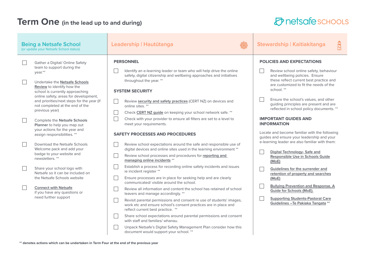#### **Term One** (in the lead up to and during)

# $\oslash$  netsafe schools

| <b>Being a Netsafe School</b><br>(or update your Netsafe School status) |                                                                                                                                                                                                                                                                                                                                                                                                                        | Leadership   Hautūtanga                                                                                                                                                                                                                                                                                                                                                                                                                                                      | Stewardship   Kaitiakitanga                                                                                                                                                                                                                                                                                                                                                                         |
|-------------------------------------------------------------------------|------------------------------------------------------------------------------------------------------------------------------------------------------------------------------------------------------------------------------------------------------------------------------------------------------------------------------------------------------------------------------------------------------------------------|------------------------------------------------------------------------------------------------------------------------------------------------------------------------------------------------------------------------------------------------------------------------------------------------------------------------------------------------------------------------------------------------------------------------------------------------------------------------------|-----------------------------------------------------------------------------------------------------------------------------------------------------------------------------------------------------------------------------------------------------------------------------------------------------------------------------------------------------------------------------------------------------|
| $\mathcal{L}$<br>$\mathcal{L}$                                          | Gather a Digital/ Online Safety<br>team to support during the<br>vear.**<br>Undertake the Netsafe Schools<br>Review to identify how the<br>school is currently approaching<br>online safety, areas for development,<br>and priorities/next steps for the year (if<br>not completed at the end of the<br>previous year)<br>Complete the Netsafe Schools<br>Planner to help you map out<br>your actions for the year and | <b>PERSONNEL</b><br>Identify an e-learning leader or team who will help drive the online<br>safety, digital citizenship and wellbeing approaches and initiatives<br>throughout the year. **<br><b>SYSTEM SECURITY</b><br>Review security and safety practices (CERT NZ) on devices and<br>online sites. **<br>Check CERT NZ guide on keeping your school network safe. **<br>Check with your provider to ensure all filters are set to a level to<br>meet your requirements. | <b>POLICIES AND EXPECTATIONS</b><br>Review school online safety, behaviour<br>and wellbeing policies. Ensure<br>these reflect current best practice and<br>are customized to fit the needs of the<br>school. **<br>Ensure the school's values, and other<br>guiding principles are present and are<br>reflected in school policy documents. **<br><b>IMPORTANT GUIDES AND</b><br><b>INFORMATION</b> |
|                                                                         | assign responsibilities. **<br>Download the Netsafe Schools<br>Welcome pack and add your<br>badge to your website and<br>newsletters.**                                                                                                                                                                                                                                                                                | <b>SAFETY PROCESSES AND PROCEDURES</b><br>Review school expectations around the safe and responsible use of<br>digital devices and online sites used in the learning environment **<br>Review school processes and procedures for reporting and<br>managing online incidents **                                                                                                                                                                                              | Locate and become familiar with the following<br>guides and ensure your leadership and your<br>e-learning leader are also familiar with them:<br>Digital Technology- Safe and<br>Responsible Use in Schools Guide<br>(MoE)                                                                                                                                                                          |
|                                                                         | Share your school logo with<br>Netsafe so it can be included on<br>the Netsafe Schools website<br><b>Connect with Netsafe</b><br>if you have any questions or<br>need further support<br>$\Box$                                                                                                                                                                                                                        | Establish a process for recording online safety incidents and issues<br>ie incident register **<br>Ensure processes are in place for seeking help and are clearly<br>communicated/visible around the school.<br>Review all information and content the school has retained of school<br>leavers and manage accordingly. **<br>Revisit parental permissions and consent re use of students' images,                                                                           | Guidelines for the surrender and<br>retention of property and searches<br>(MoE)<br><b>Bullying Prevention and Response. A</b><br>Guide for Schools (MoE).<br><b>Supporting Students-Pastoral Care</b><br>Guidelines - Te Pakiaka Tangata **                                                                                                                                                         |
|                                                                         |                                                                                                                                                                                                                                                                                                                                                                                                                        | work etc and ensure school's consent practices are in place and<br>reflect current best practice. **<br>Share school expectations around parental permissions and consent<br>with staff and families/ whanau.<br>Unpack Netsafe's Digital Safety Management Plan consider how this<br>document would support your school. **                                                                                                                                                 |                                                                                                                                                                                                                                                                                                                                                                                                     |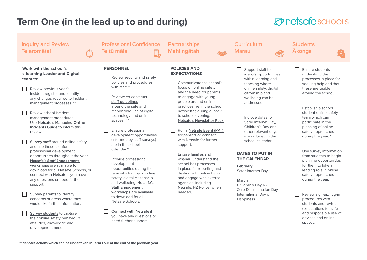#### **Term One (in the lead up to and during)**

#### $\sigma$ netsafe schools

| <b>Inquiry and Review</b><br>Te aromātai                                                                                                                                                                                                                                                                                                                                                                                                                                                                                                                                                                                                                                                                                                                                                                                                                                                     | <b>Professional Confidence</b><br>Te tū māja<br>e.                                                                                                                                                                                                                                                                                                                                                                                                                                                                                                                                                                                                                                                          | <b>Partnerships</b><br>Mahi ngātahi<br>$\sqrt{2}$                                                                                                                                                                                                                                                                                                                                                                                                                                                                                                                                                                               | <b>Curriculum</b><br><b>Marau</b>                                                                                                                                                                                                                                                                                                                                                                                                                                                          | <b>Students</b><br><b>Akonga</b>                                                                                                                                                                                                                                                                                                                                                                                                                                                                                                                                                                                                |
|----------------------------------------------------------------------------------------------------------------------------------------------------------------------------------------------------------------------------------------------------------------------------------------------------------------------------------------------------------------------------------------------------------------------------------------------------------------------------------------------------------------------------------------------------------------------------------------------------------------------------------------------------------------------------------------------------------------------------------------------------------------------------------------------------------------------------------------------------------------------------------------------|-------------------------------------------------------------------------------------------------------------------------------------------------------------------------------------------------------------------------------------------------------------------------------------------------------------------------------------------------------------------------------------------------------------------------------------------------------------------------------------------------------------------------------------------------------------------------------------------------------------------------------------------------------------------------------------------------------------|---------------------------------------------------------------------------------------------------------------------------------------------------------------------------------------------------------------------------------------------------------------------------------------------------------------------------------------------------------------------------------------------------------------------------------------------------------------------------------------------------------------------------------------------------------------------------------------------------------------------------------|--------------------------------------------------------------------------------------------------------------------------------------------------------------------------------------------------------------------------------------------------------------------------------------------------------------------------------------------------------------------------------------------------------------------------------------------------------------------------------------------|---------------------------------------------------------------------------------------------------------------------------------------------------------------------------------------------------------------------------------------------------------------------------------------------------------------------------------------------------------------------------------------------------------------------------------------------------------------------------------------------------------------------------------------------------------------------------------------------------------------------------------|
| Work with the school's<br>e-learning Leader and Digital<br>team to:<br>Review previous year's<br>incident register and identify<br>any changes required to incident<br>management processes. **<br>Review school incident<br>management procedures.<br>Use Netsafe's Managing Online<br>Incidents Guide to inform this<br>review. **<br>Survey staff around online safety<br>and use these to inform<br>professional development<br>opportunities throughout the year.<br><b>Netsafe's Staff Engagement</b><br>workshops are available to<br>download for all Netsafe Schools, or<br>connect with Netsafe if you have<br>any questions or need further<br>support.<br>Survey parents to identify<br>concerns or areas where they<br>would like further information.<br><b>Survey students</b> to capture<br>their online safety behaviours,<br>attitudes, knowledge and<br>development needs | <b>PERSONNEL</b><br>Review security and safety<br>policies and procedures<br>with staff **<br>Review/co-construct<br>staff guidelines<br>around the safe and<br>responsible use of digital<br>technology and online<br>spaces. **<br>Ensure professional<br>development opportunities<br>(informed by staff surveys)<br>are in the school<br>calendar.**<br>Provide professional<br>development<br>opportunities during the<br>term which unpack online<br>safety, digital citizenship<br>and wellbeing. Netsafe's<br><b>Staff Engagement</b><br>workshops are available<br>to download for all<br>Netsafe Schools.<br><b>Connect with Netsafe if</b><br>you have any questions or<br>need further support. | <b>POLICIES AND</b><br><b>EXPECTATIONS</b><br>Communicate the school's<br>focus on online safety<br>and the need for parents<br>to engage with young<br>people around online<br>practices. ie in the school<br>newsletter, during a 'back<br>to school' evening.<br><b>Netsafe's Newsletter Pack</b><br>Run a Netsafe Event (PPT)<br>for parents or connect<br>with Netsafe for further<br>support.<br>Ensure families and<br>whanau understand the<br>school has processes<br>in place for reporting and<br>dealing with online harm<br>and engage with external<br>agencies (including<br>Netsafe, NZ Police) when<br>needed. | Support staff to<br>identify opportunities<br>within learning and<br>teaching where<br>online safety, digital<br>citizenship and<br>wellbeing can be<br>addressed.<br>Include dates for<br>Safer Internet Day,<br>Children's Day and<br>other relevant days<br>are included in the<br>school calendar. **<br><b>DATES TO PUT IN</b><br><b>THE CALENDAR</b><br>February<br>Safer Internet Day<br>March<br>Children's Day NZ<br>Zero Discrimination Day<br>International Day of<br>Happiness | <b>Ensure students</b><br>understand the<br>processes in place for<br>seeking help and that<br>these are visible<br>around the school.<br>Establish a school<br>student online safety<br>team which can<br>participate in the<br>planning of online<br>safety approaches<br>during the year. **<br>Use survey information<br>from students to begin<br>planning opportunities<br>for them to take a<br>leading role in online<br>safety approaches<br>during the year.<br>Review sign-up/ log-in<br>procedures with<br>students and revisit<br>expectations for safe<br>and responsible use of<br>devices and online<br>spaces. |
| ** denotes actions which can be undertaken in Term Four at the end of the previous year                                                                                                                                                                                                                                                                                                                                                                                                                                                                                                                                                                                                                                                                                                                                                                                                      |                                                                                                                                                                                                                                                                                                                                                                                                                                                                                                                                                                                                                                                                                                             |                                                                                                                                                                                                                                                                                                                                                                                                                                                                                                                                                                                                                                 |                                                                                                                                                                                                                                                                                                                                                                                                                                                                                            |                                                                                                                                                                                                                                                                                                                                                                                                                                                                                                                                                                                                                                 |

**\*\* denotes actions which can be undertaken in Term Four at the end of the previous year**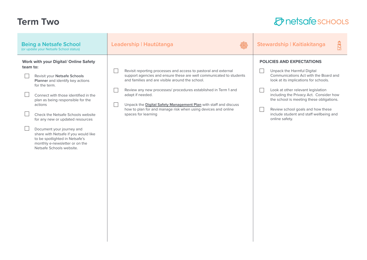## **Term Two**

| <b>Being a Netsafe School</b><br>(or update your Netsafe School status)                                                                                                                                                                                                                                                                                                                                                                                                             | Leadership   Hautūtanga                                                                                                                                                                                                                                                                                                                                                                                                                     | Stewardship   Kaitiakitanga                                                                                                                                                                                                                                                                                                                                                                     |
|-------------------------------------------------------------------------------------------------------------------------------------------------------------------------------------------------------------------------------------------------------------------------------------------------------------------------------------------------------------------------------------------------------------------------------------------------------------------------------------|---------------------------------------------------------------------------------------------------------------------------------------------------------------------------------------------------------------------------------------------------------------------------------------------------------------------------------------------------------------------------------------------------------------------------------------------|-------------------------------------------------------------------------------------------------------------------------------------------------------------------------------------------------------------------------------------------------------------------------------------------------------------------------------------------------------------------------------------------------|
| <b>Work with your Digital/ Online Safety</b><br>team to:<br>Revisit your Netsafe Schools<br>Planner and identify key actions<br>for the term.<br>Connect with those identified in the<br>plan as being responsible for the<br>actions<br>Check the Netsafe Schools website<br>for any new or updated resources<br>Document your journey and<br>share with Netsafe if you would like<br>to be spotlighted in Netsafe's<br>monthly e-newsletter or on the<br>Netsafe Schools website. | Revisit reporting processes and access to pastoral and external<br>support agencies and ensure these are well communicated to students<br>and families and are visible around the school.<br>Review any new processes/ procedures established in Term 1 and<br>adapt if needed.<br>Unpack the Digital Safety Management Plan with staff and discuss<br>how to plan for and manage risk when using devices and online<br>spaces for learning | <b>POLICIES AND EXPECTATIONS</b><br>Unpack the Harmful Digital<br>Communications Act with the Board and<br>look at its implications for schools.<br>Look at other relevant legislation<br>including the Privacy Act. Consider how<br>the school is meeting these obligations.<br>Review school goals and how these<br>$\mathbb{R}$<br>include student and staff wellbeing and<br>online safety. |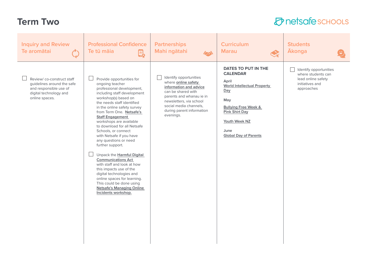## **Term Two**

| <b>Inquiry and Review</b><br>Te aromātai                                                                                      | <b>Professional Confidence</b><br>Te tū māia<br>e,                                                                                                                                                                                                                                                                                                                                                                                                                                                                                                                                                                                                                                                   | <b>Partnerships</b><br>Mahi ngātahi<br>$\sqrt{2}$                                                                                                                                                                               | <b>Curriculum</b><br><b>Marau</b><br>$\textcolor{red}{\bigtriangledown_{\!\!\! \kappa}}$                                                                                                                                 | <b>Students</b><br><b>Akonga</b>                                                                    |
|-------------------------------------------------------------------------------------------------------------------------------|------------------------------------------------------------------------------------------------------------------------------------------------------------------------------------------------------------------------------------------------------------------------------------------------------------------------------------------------------------------------------------------------------------------------------------------------------------------------------------------------------------------------------------------------------------------------------------------------------------------------------------------------------------------------------------------------------|---------------------------------------------------------------------------------------------------------------------------------------------------------------------------------------------------------------------------------|--------------------------------------------------------------------------------------------------------------------------------------------------------------------------------------------------------------------------|-----------------------------------------------------------------------------------------------------|
| Review/co-construct staff<br>guidelines around the safe<br>and responsible use of<br>digital technology and<br>online spaces. | Provide opportunities for<br>ongoing teacher<br>professional development,<br>including staff development<br>workshop(s) based on<br>the needs staff identified<br>in the online safety survey<br>from Term One. Netsafe's<br><b>Staff Engagement</b><br>workshops are available<br>to download for all Netsafe<br>Schools, or connect<br>with Netsafe if you have<br>any questions or need<br>further support.<br>$\mathbf{L}$<br>Unpack the Harmful Digital<br><b>Communications Act</b><br>with staff and look at how<br>this impacts use of the<br>digital technologies and<br>online spaces for learning.<br>This could be done using<br><b>Netsafe's Managing Online</b><br>Incidents workshop. | Identify opportunities<br>where <b>online safety</b><br>information and advice<br>can be shared with<br>parents and whanau ie in<br>newsletters, via school<br>social media channels,<br>during parent information<br>evenings. | DATES TO PUT IN THE<br><b>CALENDAR</b><br>April<br><b>World Intellectual Property</b><br>Day<br>May<br><b>Bullying Free Week &amp;</b><br><b>Pink Shirt Day</b><br>Youth Week NZ<br>June<br><b>Global Day of Parents</b> | Identify opportunities<br>where students can<br>lead online safety<br>initiatives and<br>approaches |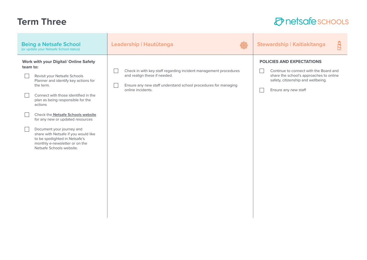## **Term Three**

| <b>Being a Netsafe School</b><br>(or update your Netsafe School status)                                                                                                                                                                                                                                                                                                                                                                                                             | Leadership   Hautūtanga                                                                                                                                                                 | Stewardship   Kaitiakitanga<br>互                                                                                                                                                    |
|-------------------------------------------------------------------------------------------------------------------------------------------------------------------------------------------------------------------------------------------------------------------------------------------------------------------------------------------------------------------------------------------------------------------------------------------------------------------------------------|-----------------------------------------------------------------------------------------------------------------------------------------------------------------------------------------|-------------------------------------------------------------------------------------------------------------------------------------------------------------------------------------|
| <b>Work with your Digital/ Online Safety</b><br>team to:<br>Revisit your Netsafe Schools<br>Planner and identify key actions for<br>the term.<br>Connect with those identified in the<br>plan as being responsible for the<br>actions<br>Check the Netsafe Schools website<br>for any new or updated resources<br>Document your journey and<br>share with Netsafe if you would like<br>to be spotlighted in Netsafe's<br>monthly e-newsletter or on the<br>Netsafe Schools website. | Check in with key staff regarding incident management procedures<br>and realign these if needed.<br>Ensure any new staff understand school procedures for managing<br>online incidents. | <b>POLICIES AND EXPECTATIONS</b><br>Continue to connect with the Board and<br>share the school's approaches to online<br>safety, citizenship and wellbeing.<br>Ensure any new staff |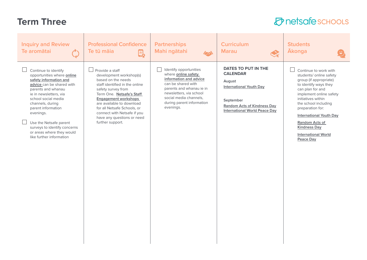# **Term Three**

| <b>Inquiry and Review</b><br>Te aromātai                                                                                                                                                                                                                                                                                                                   | <b>Professional Confidence</b><br>Te tū māia<br>$\mathbf{E}_{\mathbf{P}}$                                                                                                                                                                                                                                                                   | <b>Partnerships</b><br>Mahi ngātahi<br>$\sqrt{2}$                                                                                                                                                                        | <b>Curriculum</b><br><b>Marau</b>                                                                                                                                                    | <b>Students</b><br><b>Ākonga</b>                                                                                                                                                                                                                                                                                                                     |
|------------------------------------------------------------------------------------------------------------------------------------------------------------------------------------------------------------------------------------------------------------------------------------------------------------------------------------------------------------|---------------------------------------------------------------------------------------------------------------------------------------------------------------------------------------------------------------------------------------------------------------------------------------------------------------------------------------------|--------------------------------------------------------------------------------------------------------------------------------------------------------------------------------------------------------------------------|--------------------------------------------------------------------------------------------------------------------------------------------------------------------------------------|------------------------------------------------------------------------------------------------------------------------------------------------------------------------------------------------------------------------------------------------------------------------------------------------------------------------------------------------------|
| Continue to identify<br>opportunities where online<br>safety information and<br>advice can be shared with<br>parents and whanau<br>ie in newsletters, via<br>school social media<br>channels, during<br>parent information<br>evenings.<br>Use the Netsafe parent<br>surveys to identify concerns<br>or areas where they would<br>like further information | Provide a staff<br>$\Box$<br>development workshop(s)<br>based on the needs<br>staff identified in the online<br>safety survey from<br>Term One. Netsafe's Staff<br><b>Engagement workshops</b><br>are available to download<br>for all Netsafe Schools, or<br>connect with Netsafe if you<br>have any questions or need<br>further support. | Identify opportunities<br>where online safety<br>information and advice<br>can be shared with<br>parents and whanau ie in<br>newsletters, via school<br>social media channels,<br>during parent information<br>evenings. | <b>DATES TO PUT IN THE</b><br><b>CALENDAR</b><br>August<br><b>International Youth Day</b><br>September<br><b>Random Acts of Kindness Day</b><br><b>International World Peace Day</b> | $\Box$<br>Continue to work with<br>students/ online safety<br>group (if appropriate)<br>to identify ways they<br>can plan for and<br>implement online safety<br>initiatives within<br>the school including<br>preparation for:<br><b>International Youth Day</b><br>Random Acts of<br><b>Kindness Day</b><br><b>International World</b><br>Peace Day |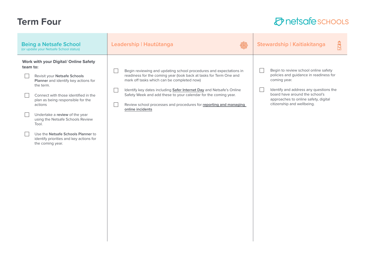### **Term Four**

| <b>Being a Netsafe School</b><br>(or update your Netsafe School status)                                                                                                                                                                                                                                                                                                                                                   | Leadership   Hautūtanga                                                                                                                                                                                                                                                                                                                                                                                                    | Stewardship   Kaitiakitanga                                                                                                                                                                                                                      |  |
|---------------------------------------------------------------------------------------------------------------------------------------------------------------------------------------------------------------------------------------------------------------------------------------------------------------------------------------------------------------------------------------------------------------------------|----------------------------------------------------------------------------------------------------------------------------------------------------------------------------------------------------------------------------------------------------------------------------------------------------------------------------------------------------------------------------------------------------------------------------|--------------------------------------------------------------------------------------------------------------------------------------------------------------------------------------------------------------------------------------------------|--|
| <b>Work with your Digital/ Online Safety</b><br>team to:<br>Revisit your Netsafe Schools<br>Planner and identify key actions for<br>the term.<br>Connect with those identified in the<br>plan as being responsible for the<br>actions<br>Undertake a review of the year<br>using the Netsafe Schools Review<br>Tool.<br>Use the Netsafe Schools Planner to<br>identify priorities and key actions for<br>the coming year. | Begin reviewing and updating school procedures and expectations in<br>readiness for the coming year (look back at tasks for Term One and<br>mark off tasks which can be completed now)<br>Identify key dates including Safer Internet Day and Netsafe's Online<br>Safety Week and add these to your calendar for the coming year.<br>Review school processes and procedures for reporting and managing<br>online incidents | Begin to review school online safety<br>policies and guidance in readiness for<br>coming year.<br>Identify and address any questions the<br>board have around the school's<br>approaches to online safety, digital<br>citizenship and wellbeing. |  |